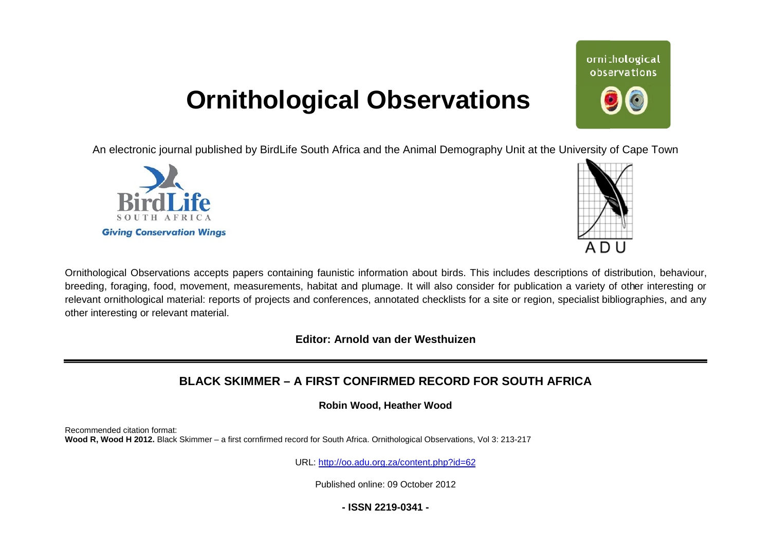## **Ornithological Observations**

An electronic journal published by BirdLife South Africa and the Animal Demography Unit at the University of Cape Town





ornithological observations

Ornithological Observations accepts papers containing faunistic information about birds. This includes descriptions of distribution, behaviour, breeding, foraging, food, movement, measurements, habitat and plumage. It will also consider for publication a variety of other interesting or relevant ornithological material: reports of projects and conferences, annotated checklists for a site or region, specialist bibliographies, and any other interesting or relevant material.

**Editor: Arnold van der Westhuizen**

## **BLACK SKIMMER – A FIRST CON CONFIRMED RECORD FOR SOUTH AFRICA**

**Robin Wood, Heather Wood** 

Recommended citation format: Wood R, Wood H 2012. Black Skimmer - a first cornfirmed record for South Africa. Ornithological Observations, Vol 3: 213-217

URL: <http://oo.adu.org.za/content.php?id=62>

Published online: 09 October 2012

**- ISSN 2219-0341 -**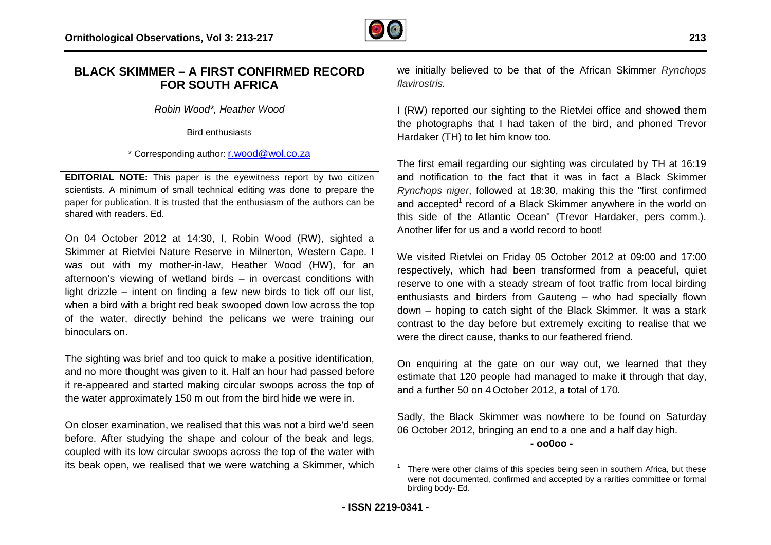

## **BLACK SKIMMER – A FIRST CONFIRMED RE RECORD FOR SOUTH AFRICA**

*Robin Wood\*, Heather Wood*

Bird enthusiasts

\* Corresponding author: [r.wood@wol.co.za](mailto:r.wood@wol.co.za)

**EDITORIAL NOTE:** This paper is the eyewitness report by two citizen scientists. A minimum of small technical editing was done to prepare the paper for publication. It is trusted that the enthusiasm of the authors can be shared with readers. Ed.

On 04 October 2012 at 14:30, I, Robin Wood (RW), sighted a On 04 October 2012 at 14:30, I, Robin Wood (RW), sighted a<br>Skimmer at Rietvlei Nature Reserve in Milnerton, Western Cape. I was out with my mother-in-law, Heather Wood (HW), for an afternoon's viewing of wetland birds – in overcast conditions with light drizzle – intent on finding a few new birds to tick off our list, when a bird with a bright red beak swooped down low across the top of the water, directly behind the pelicans we were training our binoculars on. **LACK SKIMMER – A FIRST CONFIRMED RECORD** we initially believed to be that of the African Skimmer<br>
FOR SOUTH AFRICA with the Market Wood<br>
Bird enthusiasts<br>
<sup>Bird</sup> enthusiasts<br>
<sup>Bird</sup> enthusiasts<br>
<sup>1</sup> (RW) reported our sig

The sighting was brief and too quick to make a positive identification, and no more thought was given to it. Half an hour had passed before it re-appeared and started making circular swoops across the top of the water approximately 150 m out from the bird hide we were in.

On closer examination, we realised that this was not a bird we'd seen before. After studying the shape and colour of the beak and legs, coupled with its low circular swoops across the top of the water with its beak open, we realised that we were watching a Skimmer, which

*flavirostris.*  we initially believed to be that of the African Skimmer *Rynchops* 

I (RW) reported our sighting to the Rietvlei office and showed them the photographs that I had taken of the bird, and phoned Trevor Hardaker (TH) to let him know too.

The first email regarding our sighting was circulated by TH at 16: 16:19 and notification to the fact that it was in fact a Black Skimmer *Rynchops niger*, followed at 18:30, making this the " "first confirmed and accepted<sup>1</sup> record of a Black Skimmer anywhere in the world on this side of the Atlantic Ocean" (Trevor Hardaker, pers comm.). Another lifer for us and a world record to boot!

We visited Rietvlei on Friday 05 October 2012 at 09 09:00 and 17:00 respectively, which had been transformed from a peaceful, quiet reserve to one with a steady stream of foot traffic from local birding enthusiasts and birders from Gauteng – who had specially flown down – hoping to catch sight of the Black Skimmer. It was a stark contrast to the day before but extremely exciting to realise that we were the direct cause, thanks to our feathered friend.

On enquiring at the gate on our way out, we learned that they estimate that 120 people had managed to make it through that day, and a further 50 on 4 October 2012, a total of 170.

Sadly, the Black Skimmer was nowhere to be found on Saturday 06 October 2012, bringing an end to a one and a half day high. **- oo0oo -** 

 $\overline{a}$ 1

There were other claims of this species being seen in southern Africa, but these were not documented, confirmed and accepted by a rarities committee or formal birding body- Ed.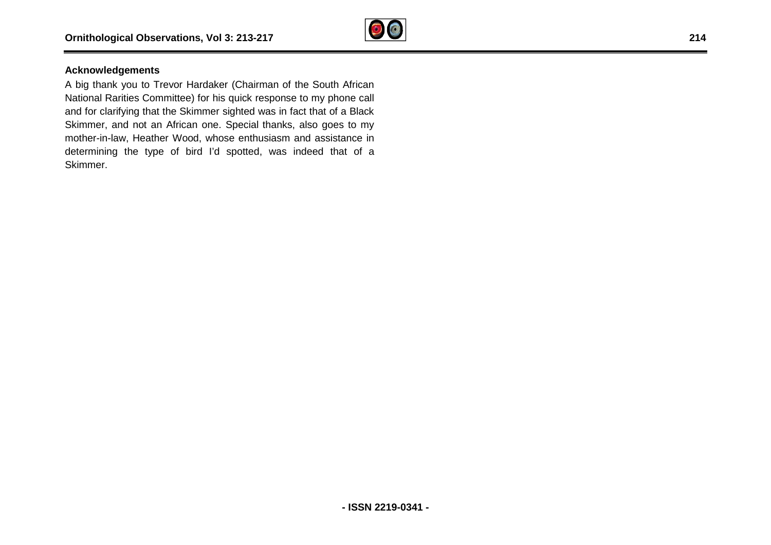

## **Acknowledgements**

A big thank you to Trevor Hardaker (Chairman of the South African National Rarities Committee) for his quick response to my phone call and for clarifying that the Skimmer sighted was in fact that of a Black Skimmer, and not an African one. Special thanks, also goes to my mother-in-law, Heather Wood, whose enthusiasm and assistance in determining the type of bird I'd spotted, was indeed that of a Skimmer. gical Observations, Vol 3: 213-217<br>
Adgements<br>
Ik you to Trevor Hardaker (Chairman of the South African<br>
arities Committee) for his quick response to my phone call<br>
trifying that the Skimmer sighted was in fact that of a B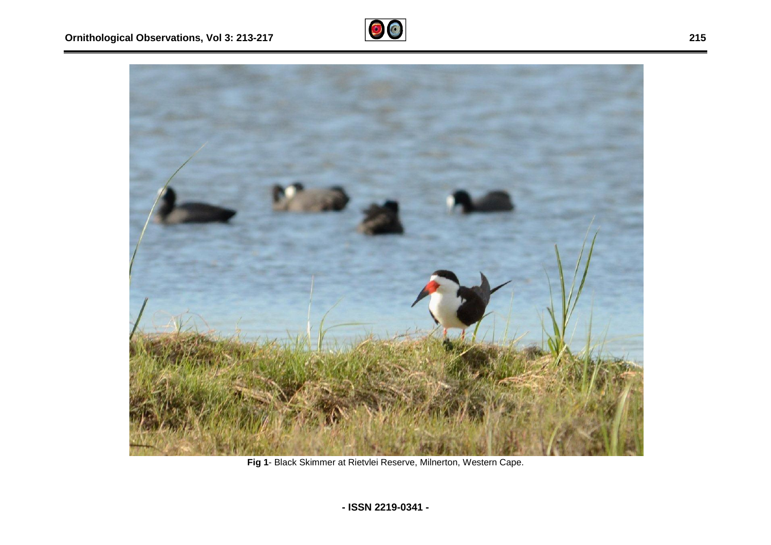



**Fig 1**- Black Skimmer at Rietvlei Reserve, Milnerton, Western Cape.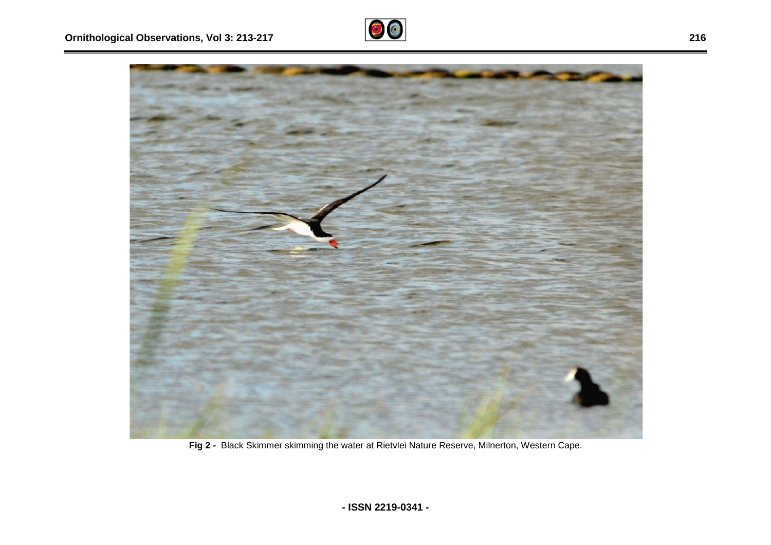



**Fig 2 -** Black Skimmer skimming the water at Rietvlei Nature Reserve, Milnerton, Western Cape.